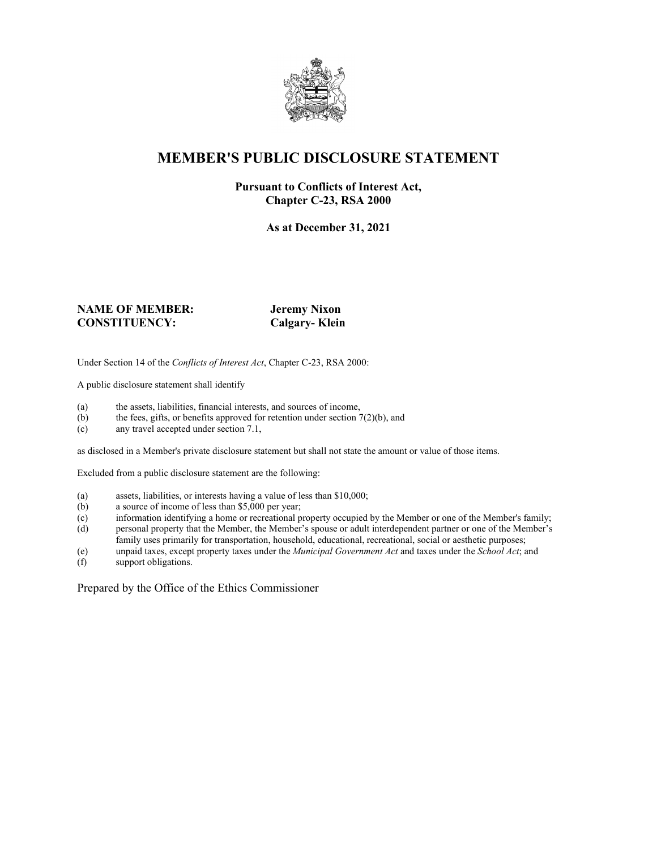

## **MEMBER'S PUBLIC DISCLOSURE STATEMENT**

#### **Pursuant to Conflicts of Interest Act, Chapter C-23, RSA 2000**

**As at December 31, 2021**

#### **NAME OF MEMBER: Jeremy Nixon CONSTITUENCY: Calgary- Klein**

Under Section 14 of the *Conflicts of Interest Act*, Chapter C-23, RSA 2000:

A public disclosure statement shall identify

- (a) the assets, liabilities, financial interests, and sources of income,  $(b)$  the fees, gifts, or benefits approved for retention under section 7
- the fees, gifts, or benefits approved for retention under section  $7(2)(b)$ , and
- (c) any travel accepted under section 7.1,

as disclosed in a Member's private disclosure statement but shall not state the amount or value of those items.

Excluded from a public disclosure statement are the following:

- (a) assets, liabilities, or interests having a value of less than \$10,000;<br>(b) a source of income of less than \$5,000 per year;
- a source of income of less than  $$5,000$  per year;
- (c) information identifying a home or recreational property occupied by the Member or one of the Member's family;
- (d) personal property that the Member, the Member's spouse or adult interdependent partner or one of the Member's family uses primarily for transportation, household, educational, recreational, social or aesthetic purposes;
- (e) unpaid taxes, except property taxes under the *Municipal Government Act* and taxes under the *School Act*; and
- (f) support obligations.

Prepared by the Office of the Ethics Commissioner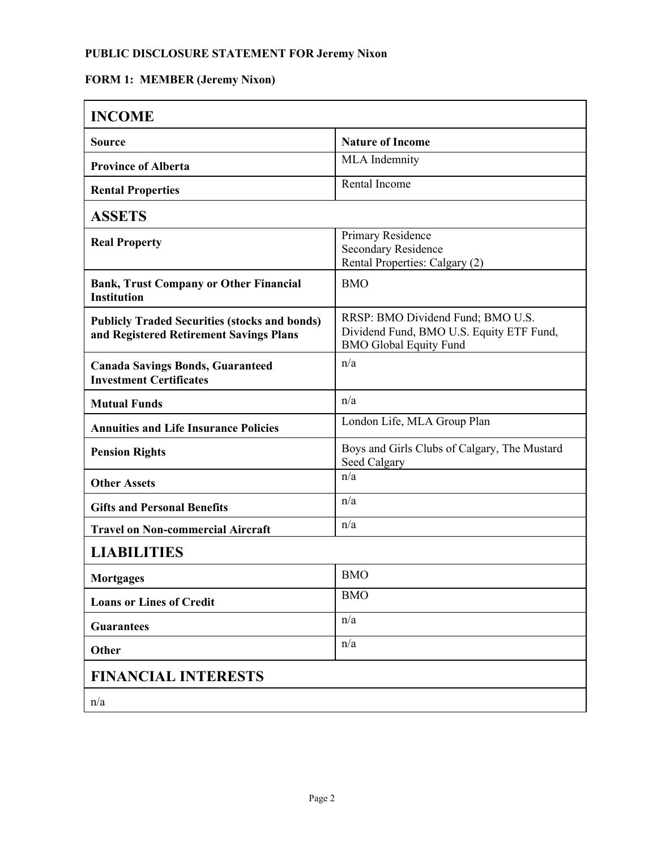### **PUBLIC DISCLOSURE STATEMENT FOR Jeremy Nixon**

### **FORM 1: MEMBER (Jeremy Nixon)**

| <b>INCOME</b>                                                                                   |                                                                                                                |  |
|-------------------------------------------------------------------------------------------------|----------------------------------------------------------------------------------------------------------------|--|
| <b>Source</b>                                                                                   | <b>Nature of Income</b>                                                                                        |  |
| <b>Province of Alberta</b>                                                                      | <b>MLA</b> Indemnity                                                                                           |  |
| <b>Rental Properties</b>                                                                        | Rental Income                                                                                                  |  |
| <b>ASSETS</b>                                                                                   |                                                                                                                |  |
| <b>Real Property</b>                                                                            | Primary Residence<br><b>Secondary Residence</b><br>Rental Properties: Calgary (2)                              |  |
| <b>Bank, Trust Company or Other Financial</b><br><b>Institution</b>                             | <b>BMO</b>                                                                                                     |  |
| <b>Publicly Traded Securities (stocks and bonds)</b><br>and Registered Retirement Savings Plans | RRSP: BMO Dividend Fund; BMO U.S.<br>Dividend Fund, BMO U.S. Equity ETF Fund,<br><b>BMO Global Equity Fund</b> |  |
| <b>Canada Savings Bonds, Guaranteed</b><br><b>Investment Certificates</b>                       | n/a                                                                                                            |  |
| <b>Mutual Funds</b>                                                                             | n/a                                                                                                            |  |
| <b>Annuities and Life Insurance Policies</b>                                                    | London Life, MLA Group Plan                                                                                    |  |
| <b>Pension Rights</b>                                                                           | Boys and Girls Clubs of Calgary, The Mustard<br>Seed Calgary                                                   |  |
| <b>Other Assets</b>                                                                             | n/a                                                                                                            |  |
| <b>Gifts and Personal Benefits</b>                                                              | n/a                                                                                                            |  |
| <b>Travel on Non-commercial Aircraft</b>                                                        | n/a                                                                                                            |  |
| <b>LIABILITIES</b>                                                                              |                                                                                                                |  |
| <b>Mortgages</b>                                                                                | <b>BMO</b>                                                                                                     |  |
| <b>Loans or Lines of Credit</b>                                                                 | <b>BMO</b>                                                                                                     |  |
| <b>Guarantees</b>                                                                               | n/a                                                                                                            |  |
| Other                                                                                           | n/a                                                                                                            |  |
| <b>FINANCIAL INTERESTS</b>                                                                      |                                                                                                                |  |
| n/a                                                                                             |                                                                                                                |  |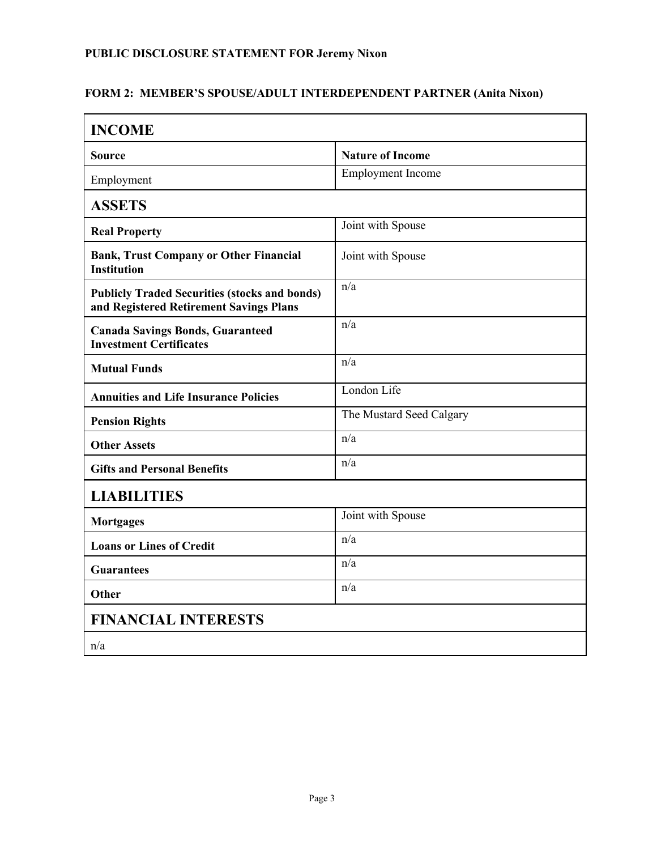## **PUBLIC DISCLOSURE STATEMENT FOR Jeremy Nixon**

#### **FORM 2: MEMBER'S SPOUSE/ADULT INTERDEPENDENT PARTNER (Anita Nixon)**

| <b>INCOME</b>                                                                                   |                          |  |
|-------------------------------------------------------------------------------------------------|--------------------------|--|
| <b>Source</b>                                                                                   | <b>Nature of Income</b>  |  |
| Employment                                                                                      | <b>Employment Income</b> |  |
| <b>ASSETS</b>                                                                                   |                          |  |
| <b>Real Property</b>                                                                            | Joint with Spouse        |  |
| <b>Bank, Trust Company or Other Financial</b><br><b>Institution</b>                             | Joint with Spouse        |  |
| <b>Publicly Traded Securities (stocks and bonds)</b><br>and Registered Retirement Savings Plans | n/a                      |  |
| <b>Canada Savings Bonds, Guaranteed</b><br><b>Investment Certificates</b>                       | n/a                      |  |
| <b>Mutual Funds</b>                                                                             | n/a                      |  |
| <b>Annuities and Life Insurance Policies</b>                                                    | London Life              |  |
| <b>Pension Rights</b>                                                                           | The Mustard Seed Calgary |  |
| <b>Other Assets</b>                                                                             | n/a                      |  |
| <b>Gifts and Personal Benefits</b>                                                              | n/a                      |  |
| <b>LIABILITIES</b>                                                                              |                          |  |
| <b>Mortgages</b>                                                                                | Joint with Spouse        |  |
| <b>Loans or Lines of Credit</b>                                                                 | n/a                      |  |
| <b>Guarantees</b>                                                                               | n/a                      |  |
| Other                                                                                           | n/a                      |  |
| <b>FINANCIAL INTERESTS</b>                                                                      |                          |  |
| n/a                                                                                             |                          |  |